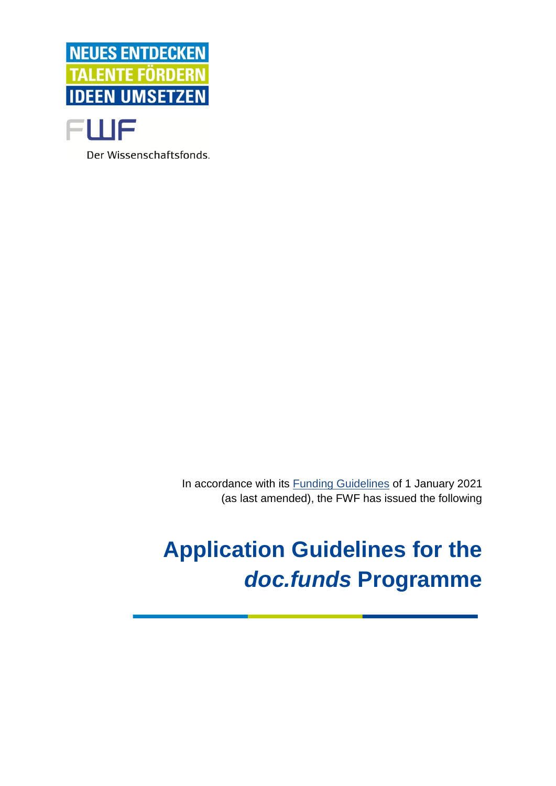



In accordance with its [Funding Guidelines](https://www.fwf.ac.at/en/research-funding/decision-making-procedure-evaluation/funding-guidelines/) of 1 January 2021 (as last amended), the FWF has issued the following

# **Application Guidelines for the**  *doc.funds* **Programme**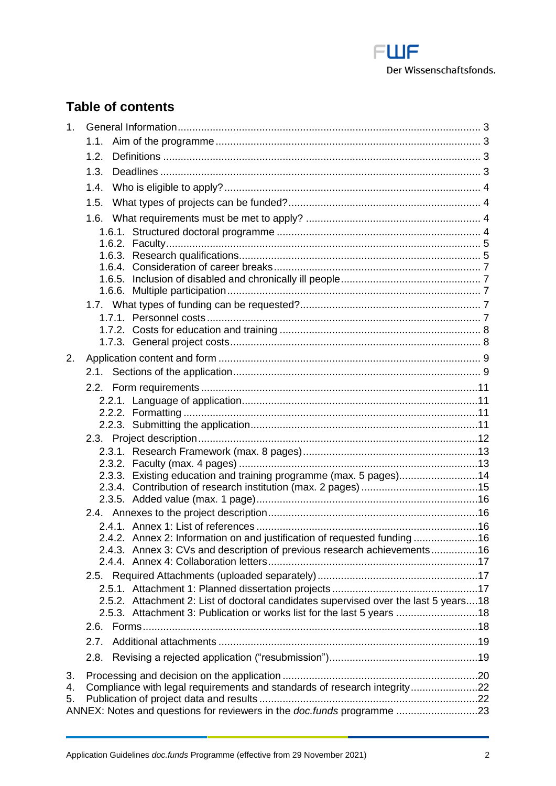<span id="page-1-0"></span>

# **Table of contents**

| 1 <sub>1</sub> |                                                                                     |  |
|----------------|-------------------------------------------------------------------------------------|--|
|                | 1.1.                                                                                |  |
|                | 1.2.                                                                                |  |
|                | 1.3.                                                                                |  |
|                | 1.4.                                                                                |  |
|                | 1.5.                                                                                |  |
|                |                                                                                     |  |
|                |                                                                                     |  |
|                |                                                                                     |  |
|                | 1.6.3.<br>1.6.4.                                                                    |  |
|                | 1.6.5.                                                                              |  |
|                | 1.6.6.                                                                              |  |
|                |                                                                                     |  |
|                |                                                                                     |  |
|                |                                                                                     |  |
|                |                                                                                     |  |
| 2.             |                                                                                     |  |
|                |                                                                                     |  |
|                |                                                                                     |  |
|                |                                                                                     |  |
|                |                                                                                     |  |
|                |                                                                                     |  |
|                |                                                                                     |  |
|                |                                                                                     |  |
|                | 2.3.3. Existing education and training programme (max. 5 pages)14                   |  |
|                |                                                                                     |  |
|                |                                                                                     |  |
|                |                                                                                     |  |
|                |                                                                                     |  |
|                | 2.4.2. Annex 2: Information on and justification of requested funding16             |  |
|                | 2.4.3. Annex 3: CVs and description of previous research achievements16             |  |
|                |                                                                                     |  |
|                |                                                                                     |  |
|                | 2.5.2. Attachment 2: List of doctoral candidates supervised over the last 5 years18 |  |
|                | 2.5.3. Attachment 3: Publication or works list for the last 5 years 18              |  |
|                |                                                                                     |  |
|                | 2.7.                                                                                |  |
|                | 2.8.                                                                                |  |
| 3.             |                                                                                     |  |
| 4.             | Compliance with legal requirements and standards of research integrity22            |  |
| 5.             |                                                                                     |  |
|                | ANNEX: Notes and questions for reviewers in the doc.funds programme 23              |  |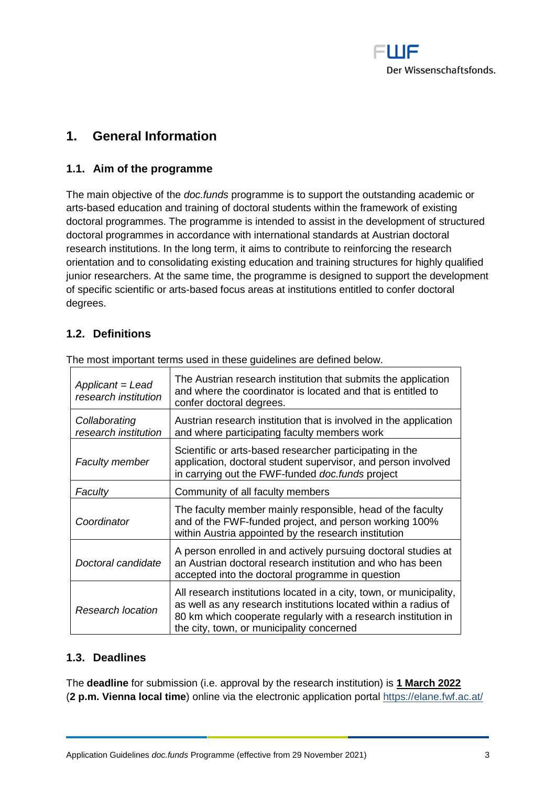

# **1. General Information**

## <span id="page-2-0"></span>**1.1. Aim of the programme**

The main objective of the *doc.funds* programme is to support the outstanding academic or arts-based education and training of doctoral students within the framework of existing doctoral programmes. The programme is intended to assist in the development of structured doctoral programmes in accordance with international standards at Austrian doctoral research institutions. In the long term, it aims to contribute to reinforcing the research orientation and to consolidating existing education and training structures for highly qualified junior researchers. At the same time, the programme is designed to support the development of specific scientific or arts-based focus areas at institutions entitled to confer doctoral degrees.

## <span id="page-2-1"></span>**1.2. Definitions**

| Applicant = Lead<br>research institution | The Austrian research institution that submits the application<br>and where the coordinator is located and that is entitled to<br>confer doctoral degrees.                                                                                            |  |  |
|------------------------------------------|-------------------------------------------------------------------------------------------------------------------------------------------------------------------------------------------------------------------------------------------------------|--|--|
| Collaborating<br>research institution    | Austrian research institution that is involved in the application<br>and where participating faculty members work                                                                                                                                     |  |  |
| <b>Faculty member</b>                    | Scientific or arts-based researcher participating in the<br>application, doctoral student supervisor, and person involved<br>in carrying out the FWF-funded doc.funds project                                                                         |  |  |
| Faculty                                  | Community of all faculty members                                                                                                                                                                                                                      |  |  |
| Coordinator                              | The faculty member mainly responsible, head of the faculty<br>and of the FWF-funded project, and person working 100%<br>within Austria appointed by the research institution                                                                          |  |  |
| Doctoral candidate                       | A person enrolled in and actively pursuing doctoral studies at<br>an Austrian doctoral research institution and who has been<br>accepted into the doctoral programme in question                                                                      |  |  |
| <b>Research location</b>                 | All research institutions located in a city, town, or municipality,<br>as well as any research institutions located within a radius of<br>80 km which cooperate regularly with a research institution in<br>the city, town, or municipality concerned |  |  |

The most important terms used in these guidelines are defined below.

## <span id="page-2-2"></span>**1.3. Deadlines**

The **deadline** for submission (i.e. approval by the research institution) is **1 March 2022** (**2 p.m. Vienna local time**) online via the electronic application portal<https://elane.fwf.ac.at/>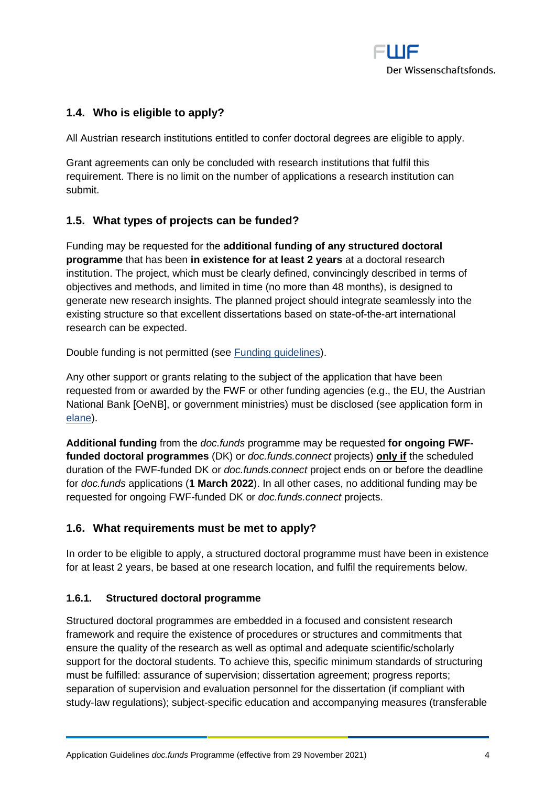

## <span id="page-3-0"></span>**1.4. Who is eligible to apply?**

All Austrian research institutions entitled to confer doctoral degrees are eligible to apply.

Grant agreements can only be concluded with research institutions that fulfil this requirement. There is no limit on the number of applications a research institution can submit.

## <span id="page-3-1"></span>**1.5. What types of projects can be funded?**

Funding may be requested for the **additional funding of any structured doctoral programme** that has been **in existence for at least 2 years** at a doctoral research institution. The project, which must be clearly defined, convincingly described in terms of objectives and methods, and limited in time (no more than 48 months), is designed to generate new research insights. The planned project should integrate seamlessly into the existing structure so that excellent dissertations based on state-of-the-art international research can be expected.

Double funding is not permitted (see [Funding guidelines\)](https://www.fwf.ac.at/en/research-funding/decision-making-procedure-evaluation/funding-guidelines/).

Any other support or grants relating to the subject of the application that have been requested from or awarded by the FWF or other funding agencies (e.g., the EU, the Austrian National Bank [OeNB], or government ministries) must be disclosed (see application form in [elane\)](https://elane.fwf.ac.at/).

**Additional funding** from the *doc.funds* programme may be requested **for ongoing FWFfunded doctoral programmes** (DK) or *doc.funds.connect* projects) **only if** the scheduled duration of the FWF-funded DK or *doc.funds.connect* project ends on or before the deadline for *doc.funds* applications (**1 March 2022**). In all other cases, no additional funding may be requested for ongoing FWF-funded DK or *doc.funds.connect* projects.

## <span id="page-3-2"></span>**1.6. What requirements must be met to apply?**

In order to be eligible to apply, a structured doctoral programme must have been in existence for at least 2 years, be based at one research location, and fulfil the requirements below.

## <span id="page-3-3"></span>**1.6.1. Structured doctoral programme**

Structured doctoral programmes are embedded in a focused and consistent research framework and require the existence of procedures or structures and commitments that ensure the quality of the research as well as optimal and adequate scientific/scholarly support for the doctoral students. To achieve this, specific minimum standards of structuring must be fulfilled: assurance of supervision; dissertation agreement; progress reports; separation of supervision and evaluation personnel for the dissertation (if compliant with study-law regulations); subject-specific education and accompanying measures (transferable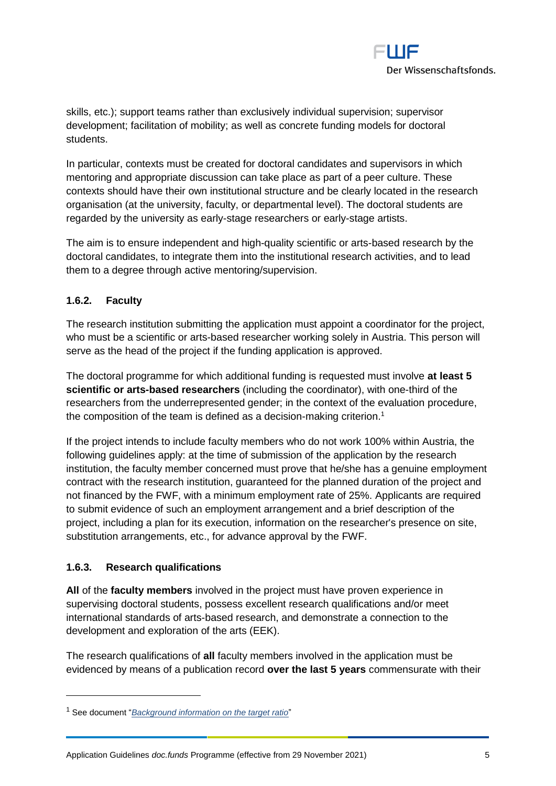

skills, etc.); support teams rather than exclusively individual supervision; supervisor development; facilitation of mobility; as well as concrete funding models for doctoral students.

In particular, contexts must be created for doctoral candidates and supervisors in which mentoring and appropriate discussion can take place as part of a peer culture. These contexts should have their own institutional structure and be clearly located in the research organisation (at the university, faculty, or departmental level). The doctoral students are regarded by the university as early-stage researchers or early-stage artists.

The aim is to ensure independent and high-quality scientific or arts-based research by the doctoral candidates, to integrate them into the institutional research activities, and to lead them to a degree through active mentoring/supervision.

## <span id="page-4-0"></span>**1.6.2. Faculty**

The research institution submitting the application must appoint a coordinator for the project, who must be a scientific or arts-based researcher working solely in Austria. This person will serve as the head of the project if the funding application is approved.

The doctoral programme for which additional funding is requested must involve **at least 5 scientific or arts-based researchers** (including the coordinator), with one-third of the researchers from the underrepresented gender; in the context of the evaluation procedure, the composition of the team is defined as a decision-making criterion.<sup>1</sup>

If the project intends to include faculty members who do not work 100% within Austria, the following guidelines apply: at the time of submission of the application by the research institution, the faculty member concerned must prove that he/she has a genuine employment contract with the research institution, guaranteed for the planned duration of the project and not financed by the FWF, with a minimum employment rate of 25%. Applicants are required to submit evidence of such an employment arrangement and a brief description of the project, including a plan for its execution, information on the researcher's presence on site, substitution arrangements, etc., for advance approval by the FWF.

## <span id="page-4-1"></span>**1.6.3. Research qualifications**

**All** of the **faculty members** involved in the project must have proven experience in supervising doctoral students, possess excellent research qualifications and/or meet international standards of arts-based research, and demonstrate a connection to the development and exploration of the arts (EEK).

The research qualifications of **all** faculty members involved in the application must be evidenced by means of a publication record **over the last 5 years** commensurate with their

<sup>1</sup> See document "*[Background information on the target ratio](https://www.fwf.ac.at/fileadmin/files/Dokumente/Antragstellung/SFBs/g_background-information-target-ratio.pdf)*"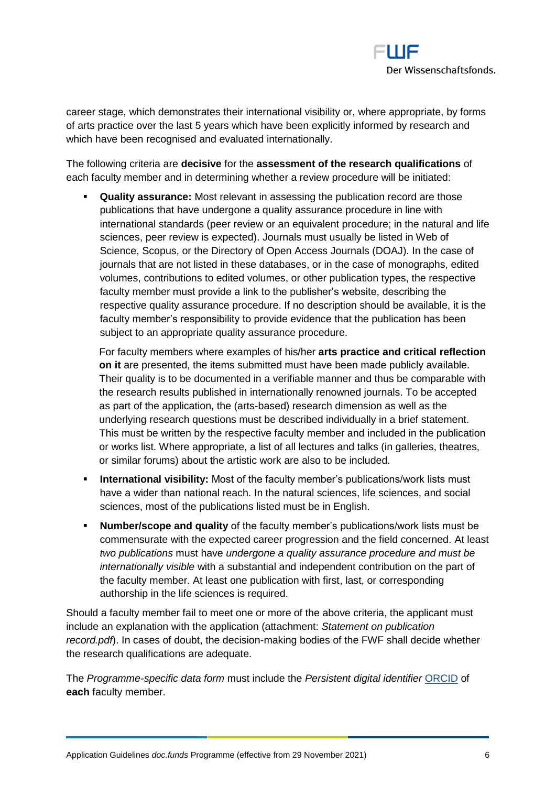

career stage, which demonstrates their international visibility or, where appropriate, by forms of arts practice over the last 5 years which have been explicitly informed by research and which have been recognised and evaluated internationally.

The following criteria are **decisive** for the **assessment of the research qualifications** of each faculty member and in determining whether a review procedure will be initiated:

**Quality assurance:** Most relevant in assessing the publication record are those publications that have undergone a quality assurance procedure in line with international standards (peer review or an equivalent procedure; in the natural and life sciences, peer review is expected). Journals must usually be listed in Web of Science, Scopus, or the Directory of Open Access Journals (DOAJ). In the case of journals that are not listed in these databases, or in the case of monographs, edited volumes, contributions to edited volumes, or other publication types, the respective faculty member must provide a link to the publisher's website, describing the respective quality assurance procedure. If no description should be available, it is the faculty member's responsibility to provide evidence that the publication has been subject to an appropriate quality assurance procedure.

For faculty members where examples of his/her **arts practice and critical reflection on it** are presented, the items submitted must have been made publicly available. Their quality is to be documented in a verifiable manner and thus be comparable with the research results published in internationally renowned journals. To be accepted as part of the application, the (arts-based) research dimension as well as the underlying research questions must be described individually in a brief statement. This must be written by the respective faculty member and included in the publication or works list. Where appropriate, a list of all lectures and talks (in galleries, theatres, or similar forums) about the artistic work are also to be included.

- **International visibility:** Most of the faculty member's publications/work lists must have a wider than national reach. In the natural sciences, life sciences, and social sciences, most of the publications listed must be in English.
- **Number/scope and quality** of the faculty member's publications/work lists must be commensurate with the expected career progression and the field concerned. At least *two publications* must have *undergone a quality assurance procedure and must be internationally visible* with a substantial and independent contribution on the part of the faculty member. At least one publication with first, last, or corresponding authorship in the life sciences is required.

Should a faculty member fail to meet one or more of the above criteria, the applicant must include an explanation with the application (attachment: *Statement on publication record.pdf*). In cases of doubt, the decision-making bodies of the FWF shall decide whether the research qualifications are adequate.

The *Programme-specific data form* must include the *Persistent digital identifier* [ORCID](http://orcid.org/) of **each** faculty member.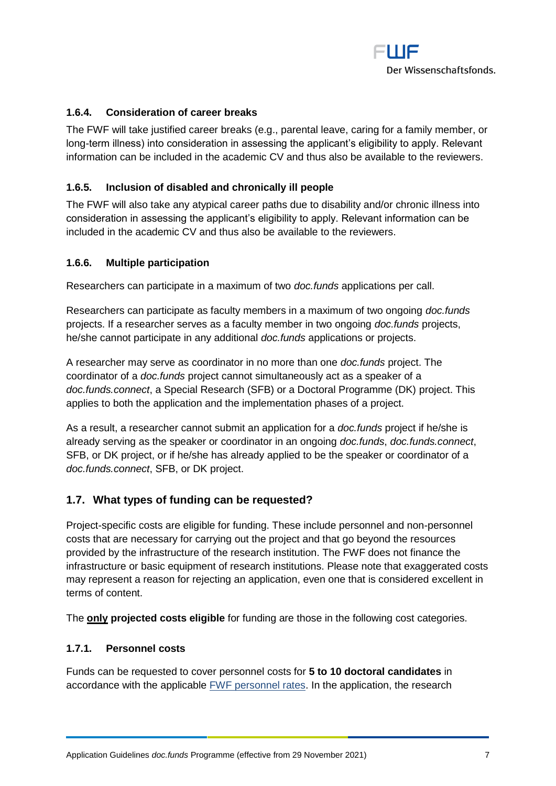

## <span id="page-6-0"></span>**1.6.4. Consideration of career breaks**

The FWF will take justified career breaks (e.g., parental leave, caring for a family member, or long-term illness) into consideration in assessing the applicant's eligibility to apply. Relevant information can be included in the academic CV and thus also be available to the reviewers.

#### <span id="page-6-1"></span>**1.6.5. Inclusion of disabled and chronically ill people**

The FWF will also take any atypical career paths due to disability and/or chronic illness into consideration in assessing the applicant's eligibility to apply. Relevant information can be included in the academic CV and thus also be available to the reviewers.

#### <span id="page-6-2"></span>**1.6.6. Multiple participation**

Researchers can participate in a maximum of two *doc.funds* applications per call.

Researchers can participate as faculty members in a maximum of two ongoing *doc.funds* projects. If a researcher serves as a faculty member in two ongoing *doc.funds* projects, he/she cannot participate in any additional *doc.funds* applications or projects.

A researcher may serve as coordinator in no more than one *doc.funds* project. The coordinator of a *doc.funds* project cannot simultaneously act as a speaker of a *doc.funds.connect*, a Special Research (SFB) or a Doctoral Programme (DK) project. This applies to both the application and the implementation phases of a project.

As a result, a researcher cannot submit an application for a *doc.funds* project if he/she is already serving as the speaker or coordinator in an ongoing *doc.funds*, *doc.funds.connect*, SFB, or DK project, or if he/she has already applied to be the speaker or coordinator of a *doc.funds.connect*, SFB, or DK project.

## <span id="page-6-3"></span>**1.7. What types of funding can be requested?**

Project-specific costs are eligible for funding. These include personnel and non-personnel costs that are necessary for carrying out the project and that go beyond the resources provided by the infrastructure of the research institution. The FWF does not finance the infrastructure or basic equipment of research institutions. Please note that exaggerated costs may represent a reason for rejecting an application, even one that is considered excellent in terms of content.

<span id="page-6-4"></span>The **only projected costs eligible** for funding are those in the following cost categories.

## **1.7.1. Personnel costs**

Funds can be requested to cover personnel costs for **5 to 10 doctoral candidates** in accordance with the applicable [FWF personnel rates.](https://www.fwf.ac.at/en/research-funding/personnel-costs/) In the application, the research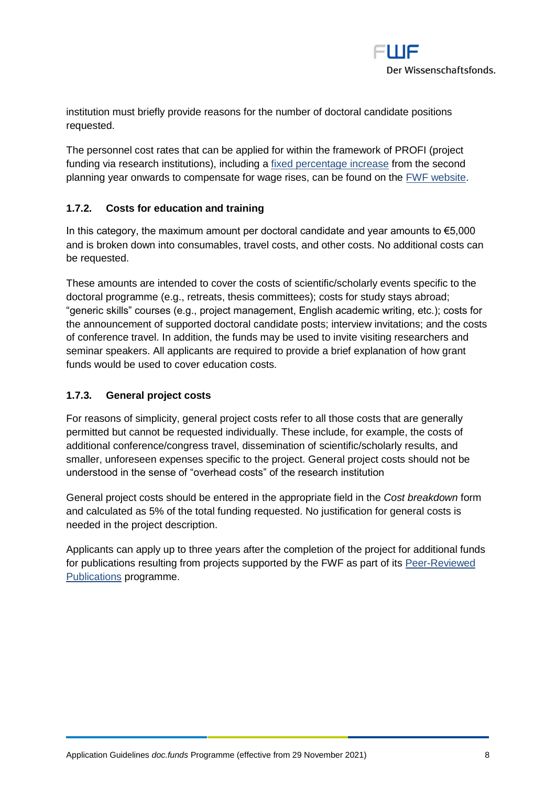

institution must briefly provide reasons for the number of doctoral candidate positions requested.

The personnel cost rates that can be applied for within the framework of PROFI (project funding via research institutions), including a [fixed percentage increase](https://www.fwf.ac.at/fileadmin/files/Dokumente/Personalkostensaetze/personnel-costs-2021_profi.pdf) from the second planning year onwards to compensate for wage rises, can be found on the [FWF website.](https://www.fwf.ac.at/en/research-funding/personnel-costs/)

## <span id="page-7-0"></span>**1.7.2. Costs for education and training**

In this category, the maximum amount per doctoral candidate and year amounts to  $\epsilon$ 5,000 and is broken down into consumables, travel costs, and other costs. No additional costs can be requested.

These amounts are intended to cover the costs of scientific/scholarly events specific to the doctoral programme (e.g., retreats, thesis committees); costs for study stays abroad; "generic skills" courses (e.g., project management, English academic writing, etc.); costs for the announcement of supported doctoral candidate posts; interview invitations; and the costs of conference travel. In addition, the funds may be used to invite visiting researchers and seminar speakers. All applicants are required to provide a brief explanation of how grant funds would be used to cover education costs.

## <span id="page-7-1"></span>**1.7.3. General project costs**

For reasons of simplicity, general project costs refer to all those costs that are generally permitted but cannot be requested individually. These include, for example, the costs of additional conference/congress travel, dissemination of scientific/scholarly results, and smaller, unforeseen expenses specific to the project. General project costs should not be understood in the sense of "overhead costs" of the research institution

General project costs should be entered in the appropriate field in the *Cost breakdown* form and calculated as 5% of the total funding requested. No justification for general costs is needed in the project description.

Applicants can apply up to three years after the completion of the project for additional funds for publications resulting from projects supported by the FWF as part of its [Peer-Reviewed](https://www.fwf.ac.at/en/research-funding/fwf-programmes/peer-reviewed-publications/)  [Publications](https://www.fwf.ac.at/en/research-funding/fwf-programmes/peer-reviewed-publications/) programme.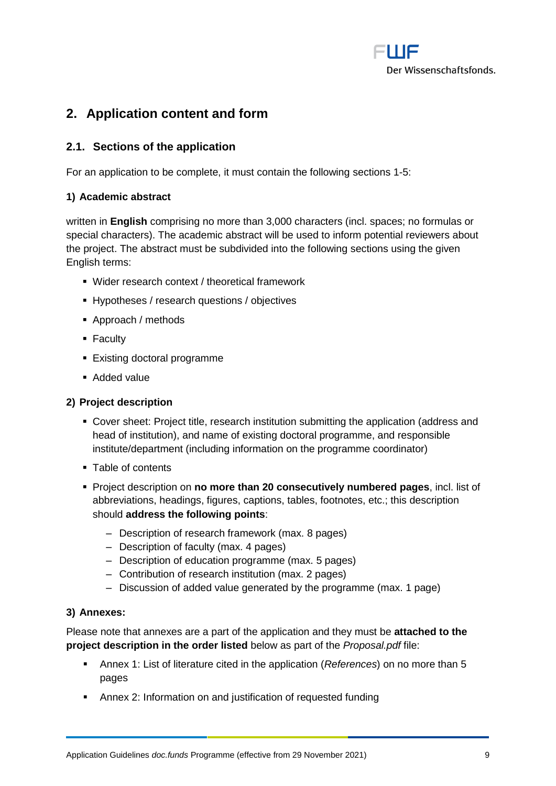

# <span id="page-8-0"></span>**2. Application content and form**

## <span id="page-8-1"></span>**2.1. Sections of the application**

For an application to be complete, it must contain the following sections 1-5:

#### **1) Academic abstract**

written in **English** comprising no more than 3,000 characters (incl. spaces; no formulas or special characters). The academic abstract will be used to inform potential reviewers about the project. The abstract must be subdivided into the following sections using the given English terms:

- Wider research context / theoretical framework
- **EXP** Hypotheses / research questions / objectives
- Approach / methods
- Faculty
- Existing doctoral programme
- Added value

#### **2) Project description**

- Cover sheet: Project title, research institution submitting the application (address and head of institution), and name of existing doctoral programme, and responsible institute/department (including information on the programme coordinator)
- Table of contents
- Project description on **no more than 20 consecutively numbered pages**, incl. list of abbreviations, headings, figures, captions, tables, footnotes, etc.; this description should **address the following points**:
	- ‒ Description of research framework (max. 8 pages)
	- ‒ Description of faculty (max. 4 pages)
	- ‒ Description of education programme (max. 5 pages)
	- ‒ Contribution of research institution (max. 2 pages)
	- Discussion of added value generated by the programme (max. 1 page)

#### **3) Annexes:**

Please note that annexes are a part of the application and they must be **attached to the project description in the order listed** below as part of the *Proposal.pdf* file:

- Annex 1: List of literature cited in the application (*References*) on no more than 5 pages
- Annex 2: Information on and justification of requested funding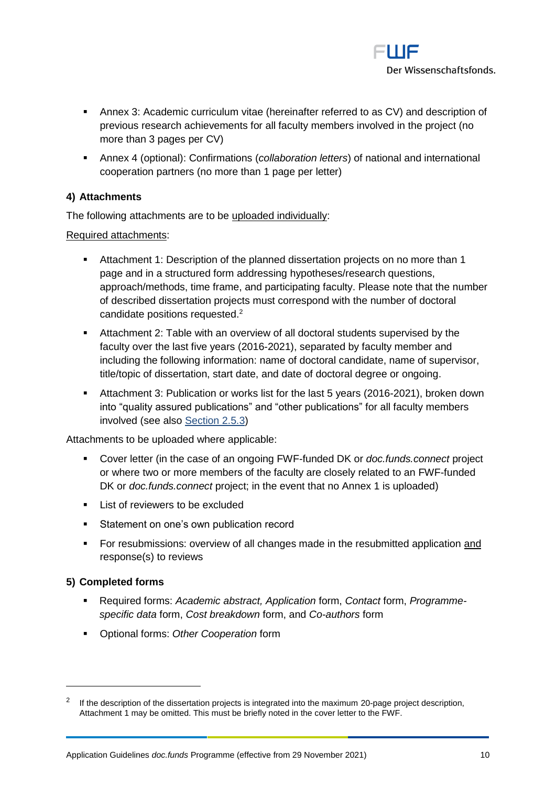

- Annex 3: Academic curriculum vitae (hereinafter referred to as CV) and description of previous research achievements for all faculty members involved in the project (no more than 3 pages per CV)
- Annex 4 (optional): Confirmations (*collaboration letters*) of national and international cooperation partners (no more than 1 page per letter)

## **4) Attachments**

The following attachments are to be uploaded individually:

Required attachments:

- Attachment 1: Description of the planned dissertation projects on no more than 1 page and in a structured form addressing hypotheses/research questions, approach/methods, time frame, and participating faculty. Please note that the number of described dissertation projects must correspond with the number of doctoral candidate positions requested. 2
- Attachment 2: Table with an overview of all doctoral students supervised by the faculty over the last five years (2016-2021), separated by faculty member and including the following information: name of doctoral candidate, name of supervisor, title/topic of dissertation, start date, and date of doctoral degree or ongoing.
- Attachment 3: Publication or works list for the last 5 years (2016-2021), broken down into "quality assured publications" and "other publications" for all faculty members involved (see also [Section 2.5.3\)](#page-17-1)

Attachments to be uploaded where applicable:

- Cover letter (in the case of an ongoing FWF-funded DK or *doc.funds.connect* project or where two or more members of the faculty are closely related to an FWF-funded DK or *doc.funds.connect* project; in the event that no Annex 1 is uploaded)
- List of reviewers to be excluded
- Statement on one's own publication record
- **•** For resubmissions: overview of all changes made in the resubmitted application and response(s) to reviews

## **5) Completed forms**

 $\overline{a}$ 

- Required forms: *Academic abstract, Application* form, *Contact* form, *Programmespecific data* form, *Cost breakdown* form, and *Co-authors* form
- Optional forms: *Other Cooperation* form

<sup>2</sup> If the description of the dissertation projects is integrated into the maximum 20-page project description, Attachment 1 may be omitted. This must be briefly noted in the cover letter to the FWF.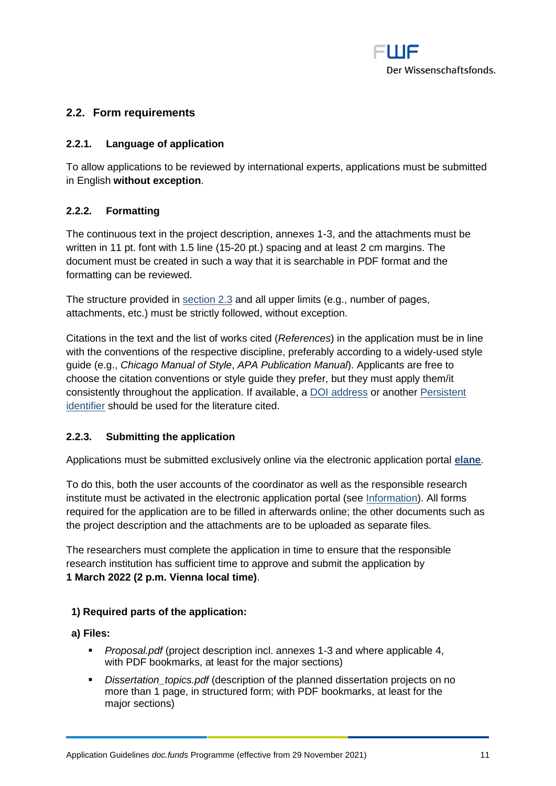

## <span id="page-10-1"></span><span id="page-10-0"></span>**2.2. Form requirements**

#### **2.2.1. Language of application**

To allow applications to be reviewed by international experts, applications must be submitted in English **without exception**.

## <span id="page-10-2"></span>**2.2.2. Formatting**

The continuous text in the project description, annexes 1-3, and the attachments must be written in 11 pt. font with 1.5 line (15-20 pt.) spacing and at least 2 cm margins. The document must be created in such a way that it is searchable in PDF format and the formatting can be reviewed.

The structure provided in [section 2.3](#page-11-0) and all upper limits (e.g., number of pages, attachments, etc.) must be strictly followed, without exception.

Citations in the text and the list of works cited (*References*) in the application must be in line with the conventions of the respective discipline, preferably according to a widely-used style guide (e.g., *Chicago Manual of Style*, *APA Publication Manual*). Applicants are free to choose the citation conventions or style guide they prefer, but they must apply them/it consistently throughout the application. If available, a [DOI address](http://www.doi.org/) or another Persistent [identifier](https://en.wikipedia.org/wiki/Persistent_identifier) should be used for the literature cited.

#### <span id="page-10-3"></span>**2.2.3. Submitting the application**

Applications must be submitted exclusively online via the electronic application portal **[elane](https://elane.fwf.ac.at/)**.

To do this, both the user accounts of the coordinator as well as the responsible research institute must be activated in the electronic application portal (see [Information\)](https://elane.fwf.ac.at/wicket/resource/org.apache.wicket.Application/FST_Information_de-ver-A5ABF244BEA79C6D2C93B0F7A70B34A2.pdf). All forms required for the application are to be filled in afterwards online; the other documents such as the project description and the attachments are to be uploaded as separate files.

The researchers must complete the application in time to ensure that the responsible research institution has sufficient time to approve and submit the application by **1 March 2022 (2 p.m. Vienna local time)**.

#### **1) Required parts of the application:**

**a) Files:**

- *Proposal.pdf* (project description incl. annexes 1-3 and where applicable 4, with PDF bookmarks, at least for the major sections)
- *Dissertation\_topics.pdf* (description of the planned dissertation projects on no more than 1 page, in structured form; with PDF bookmarks, at least for the major sections)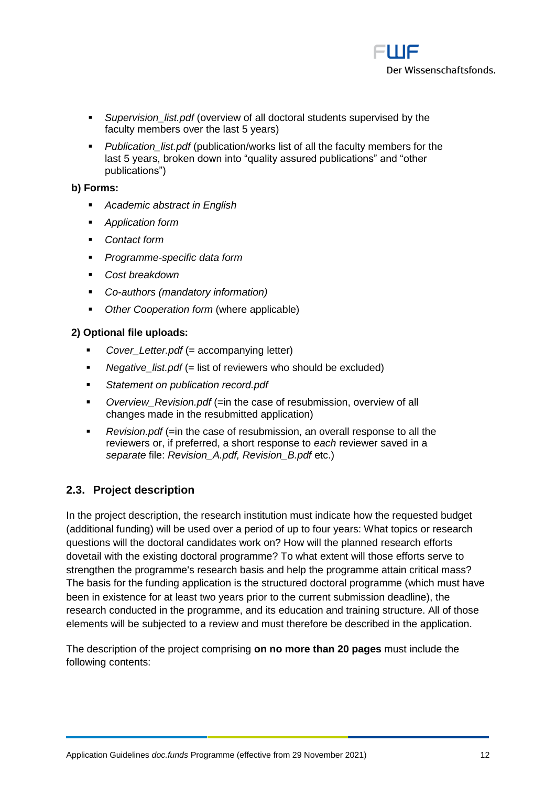

- Supervision list.pdf (overview of all doctoral students supervised by the faculty members over the last 5 years)
- *Publication\_list.pdf* (publication/works list of all the faculty members for the last 5 years, broken down into "quality assured publications" and "other publications")

#### **b) Forms:**

- *Academic abstract in English*
- **Application form**
- *Contact form*
- *Programme-specific data form*
- *Cost breakdown*
- *Co-authors (mandatory information)*
- *Other Cooperation form* (where applicable)

## **2) Optional file uploads:**

- *Cover* Letter.pdf (= accompanying letter)
- *Negative list.pdf* (= list of reviewers who should be excluded)
- *Statement on publication record.pdf*
- Overview\_Revision.pdf (=in the case of resubmission, overview of all changes made in the resubmitted application)
- *Revision.pdf* (=in the case of resubmission, an overall response to all the reviewers or, if preferred, a short response to *each* reviewer saved in a *separate* file: *Revision\_A.pdf, Revision\_B.pdf* etc.)

## <span id="page-11-0"></span>**2.3. Project description**

In the project description, the research institution must indicate how the requested budget (additional funding) will be used over a period of up to four years: What topics or research questions will the doctoral candidates work on? How will the planned research efforts dovetail with the existing doctoral programme? To what extent will those efforts serve to strengthen the programme's research basis and help the programme attain critical mass? The basis for the funding application is the structured doctoral programme (which must have been in existence for at least two years prior to the current submission deadline), the research conducted in the programme, and its education and training structure. All of those elements will be subjected to a review and must therefore be described in the application.

The description of the project comprising **on no more than 20 pages** must include the following contents: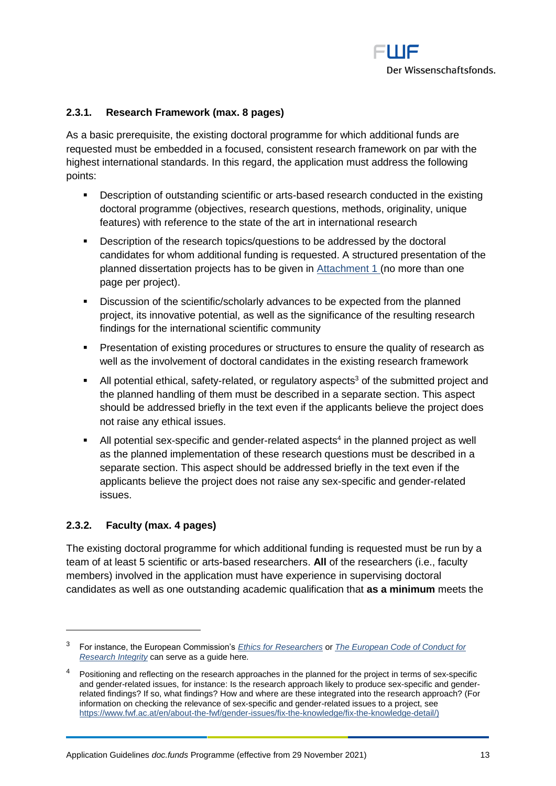

## <span id="page-12-0"></span>**2.3.1. Research Framework (max. 8 pages)**

As a basic prerequisite, the existing doctoral programme for which additional funds are requested must be embedded in a focused, consistent research framework on par with the highest international standards. In this regard, the application must address the following points:

- Description of outstanding scientific or arts-based research conducted in the existing doctoral programme (objectives, research questions, methods, originality, unique features) with reference to the state of the art in international research
- Description of the research topics/questions to be addressed by the doctoral candidates for whom additional funding is requested. A structured presentation of the planned dissertation projects has to be given in [Attachment 1](#page-16-2) (no more than one page per project).
- Discussion of the scientific/scholarly advances to be expected from the planned project, its innovative potential, as well as the significance of the resulting research findings for the international scientific community
- **Presentation of existing procedures or structures to ensure the quality of research as** well as the involvement of doctoral candidates in the existing research framework
- $\blacksquare$  All potential ethical, safety-related, or regulatory aspects<sup>3</sup> of the submitted project and the planned handling of them must be described in a separate section. This aspect should be addressed briefly in the text even if the applicants believe the project does not raise any ethical issues.
- $\blacksquare$  All potential sex-specific and gender-related aspects<sup>4</sup> in the planned project as well as the planned implementation of these research questions must be described in a separate section. This aspect should be addressed briefly in the text even if the applicants believe the project does not raise any sex-specific and gender-related issues.

#### <span id="page-12-1"></span>**2.3.2. Faculty (max. 4 pages)**

 $\overline{a}$ 

The existing doctoral programme for which additional funding is requested must be run by a team of at least 5 scientific or arts-based researchers. **All** of the researchers (i.e., faculty members) involved in the application must have experience in supervising doctoral candidates as well as one outstanding academic qualification that **as a minimum** meets the

<sup>3</sup> For instance, the European Commission's *[Ethics for Researchers](http://ec.europa.eu/research/participants/data/ref/fp7/89888/ethics-for-researchers_en.pdf)* or *[The European Code of Conduct for](https://ec.europa.eu/info/funding-tenders/opportunities/docs/2021-2027/horizon/guidance/european-code-of-conduct-for-research-integrity_horizon_en.pdf)  [Research Integrity](https://ec.europa.eu/info/funding-tenders/opportunities/docs/2021-2027/horizon/guidance/european-code-of-conduct-for-research-integrity_horizon_en.pdf)* can serve as a guide here*.*

<sup>4</sup> Positioning and reflecting on the research approaches in the planned for the project in terms of sex-specific and gender-related issues, for instance: Is the research approach likely to produce sex-specific and genderrelated findings? If so, what findings? How and where are these integrated into the research approach? (For information on checking the relevance of sex-specific and gender-related issues to a project, see [https://www.fwf.ac.at/en/about-the-fwf/gender-issues/fix-the-knowledge/fix-the-knowledge-detail/\)](https://www.fwf.ac.at/en/about-the-fwf/gender-issues/fix-the-knowledge/fix-the-knowledge-detail/)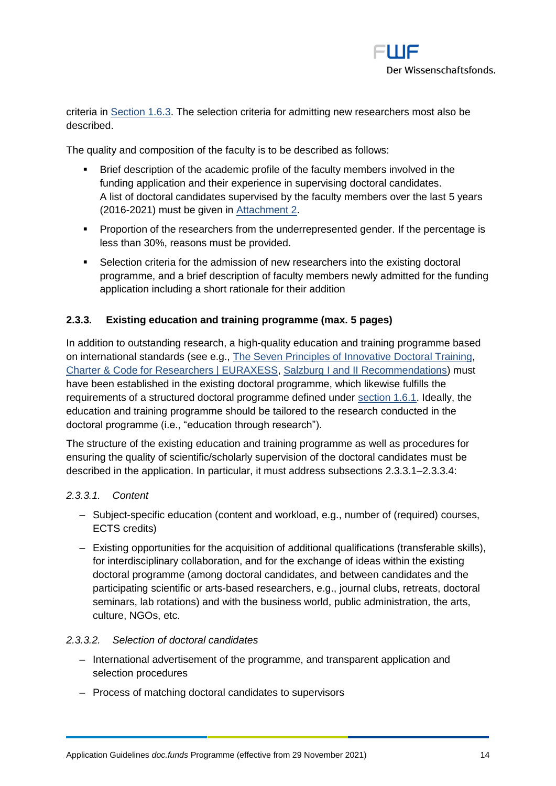

criteria in [Section 1.6.3.](#page-4-1) The selection criteria for admitting new researchers most also be described.

The quality and composition of the faculty is to be described as follows:

- Brief description of the academic profile of the faculty members involved in the funding application and their experience in supervising doctoral candidates. A list of doctoral candidates supervised by the faculty members over the last 5 years (2016-2021) must be given in [Attachment 2.](#page-17-0)
- **•** Proportion of the researchers from the underrepresented gender. If the percentage is less than 30%, reasons must be provided.
- **•** Selection criteria for the admission of new researchers into the existing doctoral programme, and a brief description of faculty members newly admitted for the funding application including a short rationale for their addition

## <span id="page-13-0"></span>**2.3.3. Existing education and training programme (max. 5 pages)**

In addition to outstanding research, a high-quality education and training programme based on international standards (see e.g., [The Seven Principles of Innovative Doctoral Training,](https://euraxess.ec.europa.eu/belgium/jobs-funding/doctoral-training-principles) [Charter & Code for Researchers | EURAXESS,](https://euraxess.ec.europa.eu/jobs/charter) [Salzburg I and II Recommendations\)](https://eua-cde.org/reports-publications.html) must have been established in the existing doctoral programme, which likewise fulfills the requirements of a structured doctoral programme defined under [section 1.6.1.](#page-3-3) Ideally, the education and training programme should be tailored to the research conducted in the doctoral programme (i.e., "education through research").

The structure of the existing education and training programme as well as procedures for ensuring the quality of scientific/scholarly supervision of the doctoral candidates must be described in the application. In particular, it must address subsections [2.3.3.1](#page-13-1)[–2.3.3.4:](#page-14-1)

#### <span id="page-13-1"></span>*2.3.3.1. Content*

- ‒ Subject-specific education (content and workload, e.g., number of (required) courses, ECTS credits)
- ‒ Existing opportunities for the acquisition of additional qualifications (transferable skills), for interdisciplinary collaboration, and for the exchange of ideas within the existing doctoral programme (among doctoral candidates, and between candidates and the participating scientific or arts-based researchers, e.g., journal clubs, retreats, doctoral seminars, lab rotations) and with the business world, public administration, the arts, culture, NGOs, etc.

#### *2.3.3.2. Selection of doctoral candidates*

- ‒ International advertisement of the programme, and transparent application and selection procedures
- ‒ Process of matching doctoral candidates to supervisors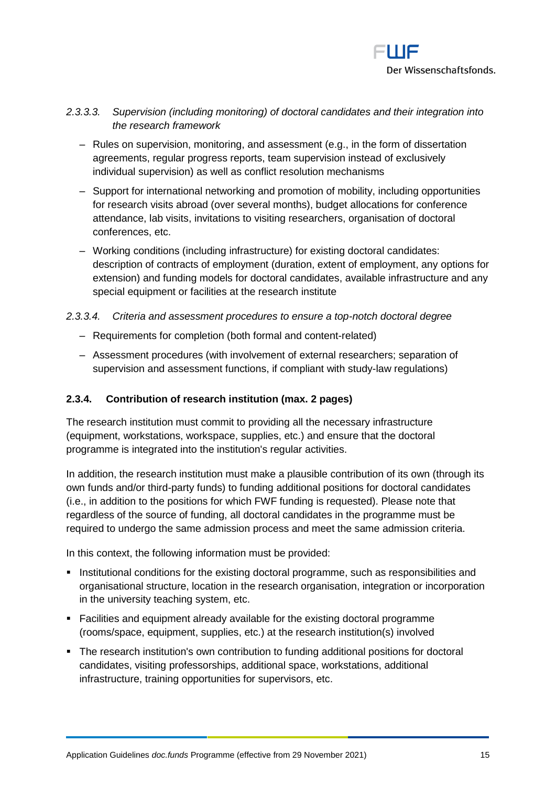

## *2.3.3.3. Supervision (including monitoring) of doctoral candidates and their integration into the research framework*

- Rules on supervision, monitoring, and assessment (e.g., in the form of dissertation agreements, regular progress reports, team supervision instead of exclusively individual supervision) as well as conflict resolution mechanisms
- ‒ Support for international networking and promotion of mobility, including opportunities for research visits abroad (over several months), budget allocations for conference attendance, lab visits, invitations to visiting researchers, organisation of doctoral conferences, etc.
- ‒ Working conditions (including infrastructure) for existing doctoral candidates: description of contracts of employment (duration, extent of employment, any options for extension) and funding models for doctoral candidates, available infrastructure and any special equipment or facilities at the research institute

#### <span id="page-14-1"></span>*2.3.3.4. Criteria and assessment procedures to ensure a top-notch doctoral degree*

- ‒ Requirements for completion (both formal and content-related)
- ‒ Assessment procedures (with involvement of external researchers; separation of supervision and assessment functions, if compliant with study-law regulations)

## <span id="page-14-0"></span>**2.3.4. Contribution of research institution (max. 2 pages)**

The research institution must commit to providing all the necessary infrastructure (equipment, workstations, workspace, supplies, etc.) and ensure that the doctoral programme is integrated into the institution's regular activities.

In addition, the research institution must make a plausible contribution of its own (through its own funds and/or third-party funds) to funding additional positions for doctoral candidates (i.e., in addition to the positions for which FWF funding is requested). Please note that regardless of the source of funding, all doctoral candidates in the programme must be required to undergo the same admission process and meet the same admission criteria.

In this context, the following information must be provided:

- **EXEDENTIFY Institutional conditions for the existing doctoral programme, such as responsibilities and** organisational structure, location in the research organisation, integration or incorporation in the university teaching system, etc.
- Facilities and equipment already available for the existing doctoral programme (rooms/space, equipment, supplies, etc.) at the research institution(s) involved
- The research institution's own contribution to funding additional positions for doctoral candidates, visiting professorships, additional space, workstations, additional infrastructure, training opportunities for supervisors, etc.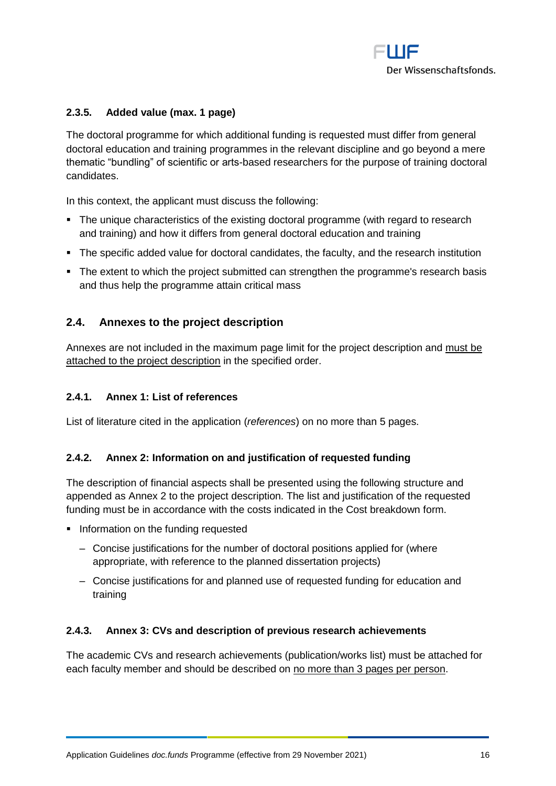

## <span id="page-15-0"></span>**2.3.5. Added value (max. 1 page)**

The doctoral programme for which additional funding is requested must differ from general doctoral education and training programmes in the relevant discipline and go beyond a mere thematic "bundling" of scientific or arts-based researchers for the purpose of training doctoral candidates.

In this context, the applicant must discuss the following:

- The unique characteristics of the existing doctoral programme (with regard to research and training) and how it differs from general doctoral education and training
- The specific added value for doctoral candidates, the faculty, and the research institution
- The extent to which the project submitted can strengthen the programme's research basis and thus help the programme attain critical mass

## <span id="page-15-1"></span>**2.4. Annexes to the project description**

Annexes are not included in the maximum page limit for the project description and must be attached to the project description in the specified order.

#### <span id="page-15-2"></span>**2.4.1. Annex 1: List of references**

<span id="page-15-3"></span>List of literature cited in the application (*references*) on no more than 5 pages.

## **2.4.2. Annex 2: Information on and justification of requested funding**

The description of financial aspects shall be presented using the following structure and appended as Annex 2 to the project description. The list and justification of the requested funding must be in accordance with the costs indicated in the Cost breakdown form.

- **•** Information on the funding requested
	- ‒ Concise justifications for the number of doctoral positions applied for (where appropriate, with reference to the planned dissertation projects)
	- ‒ Concise justifications for and planned use of requested funding for education and training

#### <span id="page-15-4"></span>**2.4.3. Annex 3: CVs and description of previous research achievements**

The academic CVs and research achievements (publication/works list) must be attached for each faculty member and should be described on no more than 3 pages per person.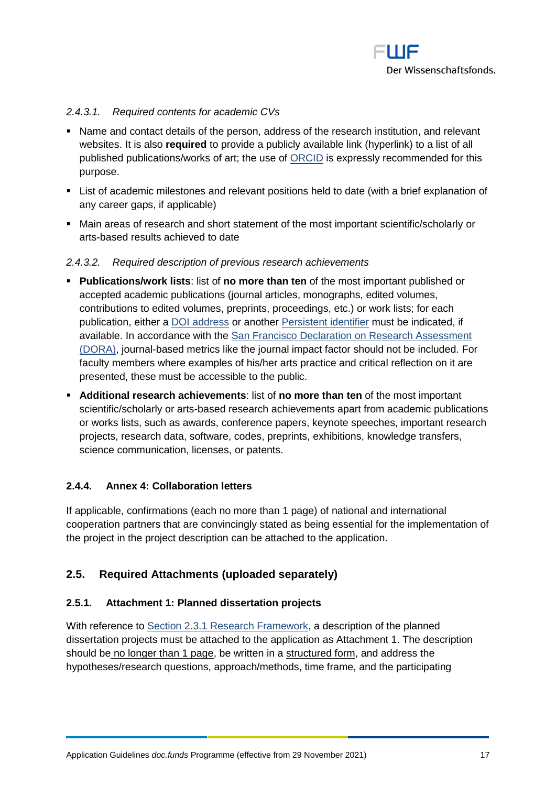

## *2.4.3.1. Required contents for academic CVs*

- Name and contact details of the person, address of the research institution, and relevant websites. It is also **required** to provide a publicly available link (hyperlink) to a list of all published publications/works of art; the use of [ORCID](https://orcid.org/) is expressly recommended for this purpose.
- List of academic milestones and relevant positions held to date (with a brief explanation of any career gaps, if applicable)
- Main areas of research and short statement of the most important scientific/scholarly or arts-based results achieved to date

#### *2.4.3.2. Required description of previous research achievements*

- **Publications/work lists**: list of **no more than ten** of the most important published or accepted academic publications (journal articles, monographs, edited volumes, contributions to edited volumes, preprints, proceedings, etc.) or work lists; for each publication, either a [DOI address](http://www.doi.org/) or another [Persistent identifier](http://en.wikipedia.org/wiki/Persistent_identifier) must be indicated, if available. In accordance with the [San Francisco Declaration on Research Assessment](https://sfdora.org/) [\(DORA\),](https://sfdora.org/) journal-based metrics like the journal impact factor should not be included. For faculty members where examples of his/her arts practice and critical reflection on it are presented, these must be accessible to the public.
- **Additional research achievements**: list of **no more than ten** of the most important scientific/scholarly or arts-based research achievements apart from academic publications or works lists, such as awards, conference papers, keynote speeches, important research projects, research data, software, codes, preprints, exhibitions, knowledge transfers, science communication, licenses, or patents.

#### <span id="page-16-0"></span>**2.4.4. Annex 4: Collaboration letters**

If applicable, confirmations (each no more than 1 page) of national and international cooperation partners that are convincingly stated as being essential for the implementation of the project in the project description can be attached to the application.

## <span id="page-16-1"></span>**2.5. Required Attachments (uploaded separately)**

#### <span id="page-16-2"></span>**2.5.1. Attachment 1: Planned dissertation projects**

With reference to [Section 2.3.1 Research Framework,](#page-12-0) a description of the planned dissertation projects must be attached to the application as Attachment 1. The description should be no longer than 1 page, be written in a structured form, and address the hypotheses/research questions, approach/methods, time frame, and the participating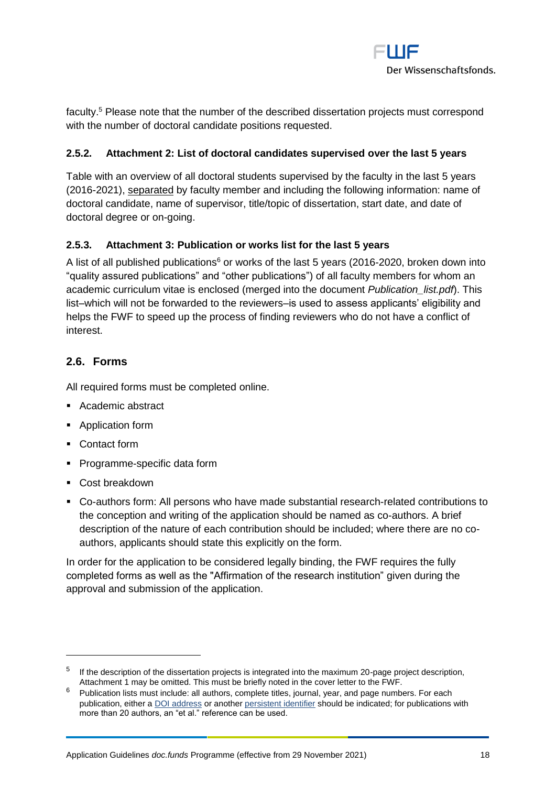

faculty.<sup>5</sup> Please note that the number of the described dissertation projects must correspond with the number of doctoral candidate positions requested.

## <span id="page-17-0"></span>**2.5.2. Attachment 2: List of doctoral candidates supervised over the last 5 years**

Table with an overview of all doctoral students supervised by the faculty in the last 5 years (2016-2021), separated by faculty member and including the following information: name of doctoral candidate, name of supervisor, title/topic of dissertation, start date, and date of doctoral degree or on-going.

## <span id="page-17-1"></span>**2.5.3. Attachment 3: Publication or works list for the last 5 years**

A list of all published publications<sup>6</sup> or works of the last 5 years (2016-2020, broken down into "quality assured publications" and "other publications") of all faculty members for whom an academic curriculum vitae is enclosed (merged into the document *Publication\_list.pdf*). This list–which will not be forwarded to the reviewers–is used to assess applicants' eligibility and helps the FWF to speed up the process of finding reviewers who do not have a conflict of interest.

## <span id="page-17-2"></span>**2.6. Forms**

All required forms must be completed online.

- Academic abstract
- Application form
- Contact form
- Programme-specific data form
- Cost breakdown

 $\overline{a}$ 

▪ Co-authors form: All persons who have made substantial research-related contributions to the conception and writing of the application should be named as co-authors. A brief description of the nature of each contribution should be included; where there are no coauthors, applicants should state this explicitly on the form.

In order for the application to be considered legally binding, the FWF requires the fully completed forms as well as the "Affirmation of the research institution" given during the approval and submission of the application.

 $5$  If the description of the dissertation projects is integrated into the maximum 20-page project description, Attachment 1 may be omitted. This must be briefly noted in the cover letter to the FWF.

 $6$  Publication lists must include: all authors, complete titles, journal, year, and page numbers. For each publication, either [a DOI address](http://www.doi.org/) or another [persistent identifier](http://en.wikipedia.org/wiki/Persistent_identifier) should be indicated; for publications with more than 20 authors, an "et al." reference can be used.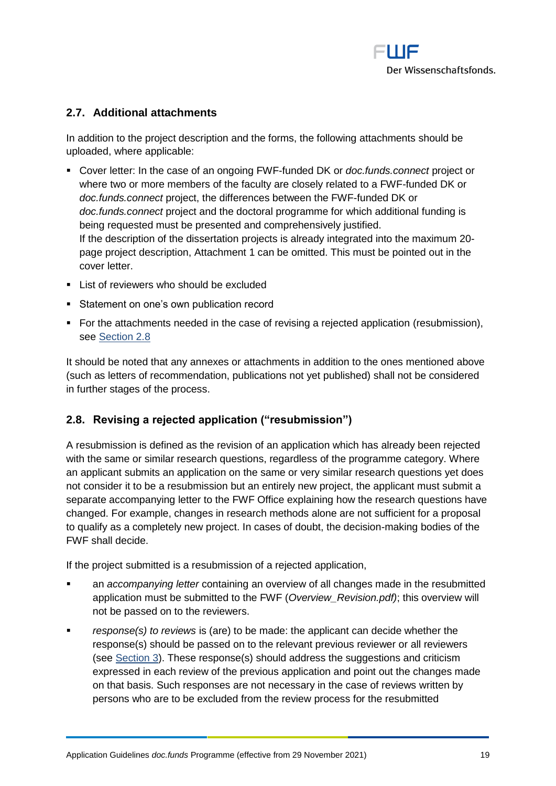

## <span id="page-18-0"></span>**2.7. Additional attachments**

In addition to the project description and the forms, the following attachments should be uploaded, where applicable:

- Cover letter: In the case of an ongoing FWF-funded DK or *doc.funds.connect* project or where two or more members of the faculty are closely related to a FWF-funded DK or *doc.funds.connect* project, the differences between the FWF-funded DK or *doc.funds.connect* project and the doctoral programme for which additional funding is being requested must be presented and comprehensively justified. If the description of the dissertation projects is already integrated into the maximum 20 page project description, Attachment 1 can be omitted. This must be pointed out in the cover letter.
- List of reviewers who should be excluded
- Statement on one's own publication record
- For the attachments needed in the case of revising a rejected application (resubmission), see [Section 2.8](#page-18-1)

It should be noted that any annexes or attachments in addition to the ones mentioned above (such as letters of recommendation, publications not yet published) shall not be considered in further stages of the process.

## <span id="page-18-1"></span>**2.8. Revising a rejected application ("resubmission")**

A resubmission is defined as the revision of an application which has already been rejected with the same or similar research questions, regardless of the programme category. Where an applicant submits an application on the same or very similar research questions yet does not consider it to be a resubmission but an entirely new project, the applicant must submit a separate accompanying letter to the FWF Office explaining how the research questions have changed. For example, changes in research methods alone are not sufficient for a proposal to qualify as a completely new project. In cases of doubt, the decision-making bodies of the FWF shall decide.

If the project submitted is a resubmission of a rejected application,

- an *accompanying letter* containing an overview of all changes made in the resubmitted application must be submitted to the FWF (*Overview\_Revision.pdf)*; this overview will not be passed on to the reviewers.
- *response(s) to reviews is (are) to be made: the applicant can decide whether the* response(s) should be passed on to the relevant previous reviewer or all reviewers (see [Section 3\)](#page-19-0). These response(s) should address the suggestions and criticism expressed in each review of the previous application and point out the changes made on that basis. Such responses are not necessary in the case of reviews written by persons who are to be excluded from the review process for the resubmitted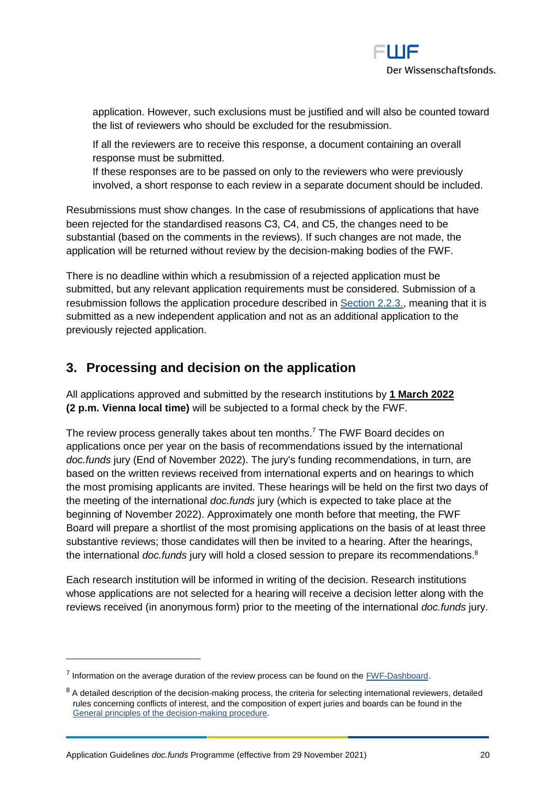application. However, such exclusions must be justified and will also be counted toward the list of reviewers who should be excluded for the resubmission.

If all the reviewers are to receive this response, a document containing an overall response must be submitted.

If these responses are to be passed on only to the reviewers who were previously involved, a short response to each review in a separate document should be included.

Resubmissions must show changes. In the case of resubmissions of applications that have been rejected for the standardised reasons C3, C4, and C5, the changes need to be substantial (based on the comments in the reviews). If such changes are not made, the application will be returned without review by the decision-making bodies of the FWF.

There is no deadline within which a resubmission of a rejected application must be submitted, but any relevant application requirements must be considered. Submission of a resubmission follows the application procedure described in [Section 2.2.3.,](#page-10-3) meaning that it is submitted as a new independent application and not as an additional application to the previously rejected application.

# <span id="page-19-0"></span>**3. Processing and decision on the application**

All applications approved and submitted by the research institutions by **1 March 2022 (2 p.m. Vienna local time)** will be subjected to a formal check by the FWF.

The review process generally takes about ten months.<sup>7</sup> The FWF Board decides on applications once per year on the basis of recommendations issued by the international *doc.funds* jury (End of November 2022). The jury's funding recommendations, in turn, are based on the written reviews received from international experts and on hearings to which the most promising applicants are invited. These hearings will be held on the first two days of the meeting of the international *doc.funds* jury (which is expected to take place at the beginning of November 2022). Approximately one month before that meeting, the FWF Board will prepare a shortlist of the most promising applications on the basis of at least three substantive reviews; those candidates will then be invited to a hearing. After the hearings, the international *doc.funds* jury will hold a closed session to prepare its recommendations. 8

Each research institution will be informed in writing of the decision. Research institutions whose applications are not selected for a hearing will receive a decision letter along with the reviews received (in anonymous form) prior to the meeting of the international *doc.funds* jury.

 $<sup>7</sup>$  Information on the average duration of the review process can be found on the  $FWF\text{-Dashboard}$ .</sup>

 $8$  A detailed description of the decision-making process, the criteria for selecting international reviewers, detailed rules concerning conflicts of interest, and the composition of expert juries and boards can be found in the [General principles of the decision-making procedure.](https://www.fwf.ac.at/en/research-funding/decision-making-procedure-evaluation/decision-making-procedure/)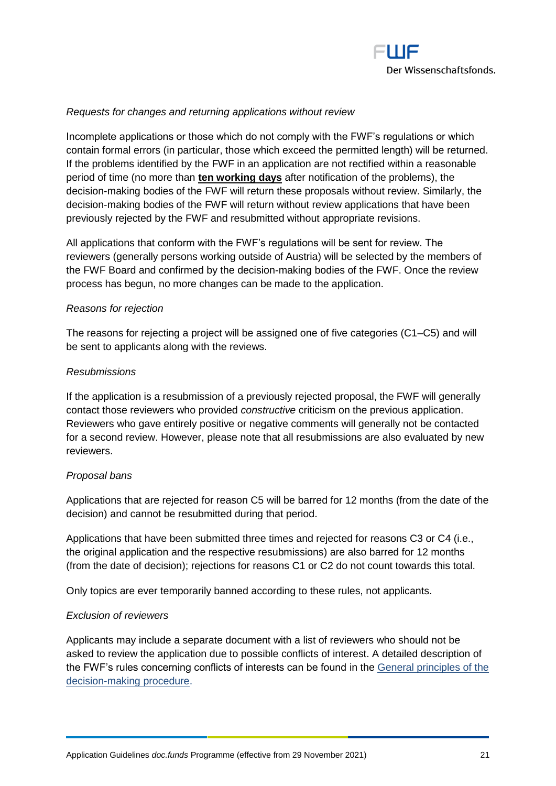

#### *Requests for changes and returning applications without review*

Incomplete applications or those which do not comply with the FWF's regulations or which contain formal errors (in particular, those which exceed the permitted length) will be returned. If the problems identified by the FWF in an application are not rectified within a reasonable period of time (no more than **ten working days** after notification of the problems), the decision-making bodies of the FWF will return these proposals without review. Similarly, the decision-making bodies of the FWF will return without review applications that have been previously rejected by the FWF and resubmitted without appropriate revisions.

All applications that conform with the FWF's regulations will be sent for review. The reviewers (generally persons working outside of Austria) will be selected by the members of the FWF Board and confirmed by the decision-making bodies of the FWF. Once the review process has begun, no more changes can be made to the application.

#### *Reasons for rejection*

The reasons for rejecting a project will be assigned one of five categories (C1–C5) and will be sent to applicants along with the reviews.

#### *Resubmissions*

If the application is a resubmission of a previously rejected proposal, the FWF will generally contact those reviewers who provided *constructive* criticism on the previous application. Reviewers who gave entirely positive or negative comments will generally not be contacted for a second review. However, please note that all resubmissions are also evaluated by new reviewers.

#### *Proposal bans*

Applications that are rejected for reason C5 will be barred for 12 months (from the date of the decision) and cannot be resubmitted during that period.

Applications that have been submitted three times and rejected for reasons C3 or C4 (i.e., the original application and the respective resubmissions) are also barred for 12 months (from the date of decision); rejections for reasons C1 or C2 do not count towards this total.

Only topics are ever temporarily banned according to these rules, not applicants.

#### *Exclusion of reviewers*

Applicants may include a separate document with a list of reviewers who should not be asked to review the application due to possible conflicts of interest. A detailed description of the FWF's rules concerning conflicts of interests can be found in the [General principles of the](https://www.fwf.ac.at/en/research-funding/decision-making-procedure-evaluation/decision-making-procedure/)  [decision-making procedure.](https://www.fwf.ac.at/en/research-funding/decision-making-procedure-evaluation/decision-making-procedure/)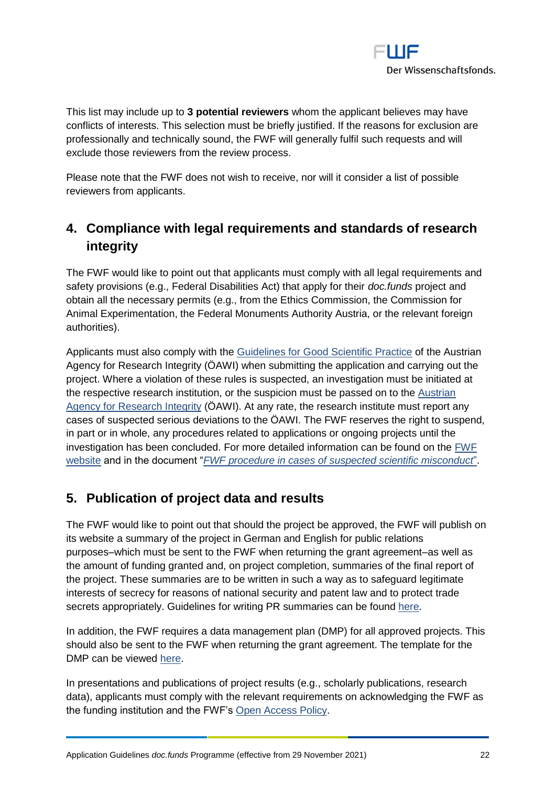

This list may include up to **3 potential reviewers** whom the applicant believes may have conflicts of interests. This selection must be briefly justified. If the reasons for exclusion are professionally and technically sound, the FWF will generally fulfil such requests and will exclude those reviewers from the review process.

Please note that the FWF does not wish to receive, nor will it consider a list of possible reviewers from applicants.

# <span id="page-21-0"></span>**4. Compliance with legal requirements and standards of research integrity**

The FWF would like to point out that applicants must comply with all legal requirements and safety provisions (e.g., Federal Disabilities Act) that apply for their *doc.funds* project and obtain all the necessary permits (e.g., from the Ethics Commission, the Commission for Animal Experimentation, the Federal Monuments Authority Austria, or the relevant foreign authorities).

Applicants must also comply with the [Guidelines for Good Scientific Practice](https://oeawi.at/en/guidelines/) of the Austrian Agency for Research Integrity (ÖAWI) when submitting the application and carrying out the project. Where a violation of these rules is suspected, an investigation must be initiated at the respective research institution, or the suspicion must be passed on to the Austrian [Agency for Research Integrity](https://oeawi.at/en/) (ÖAWI). At any rate, the research institute must report any cases of suspected serious deviations to the ÖAWI. The FWF reserves the right to suspend, in part or in whole, any procedures related to applications or ongoing projects until the investigation has been concluded. For more detailed information can be found on the [FWF](https://fwf.ac.at/en/research-funding/research-integrity-research-ethics/)  [website](https://fwf.ac.at/en/research-funding/research-integrity-research-ethics/) and in the document "*[FWF procedure in cases of suspected scientific misconduct](https://fwf.ac.at/fileadmin/files/Dokumente/Research_Integrity_Ethics/FWF_Verfahren_Research_Misconduct-en.pdf)*".

## <span id="page-21-1"></span>**5. Publication of project data and results**

The FWF would like to point out that should the project be approved, the FWF will publish on its website a summary of the project in German and English for public relations purposes–which must be sent to the FWF when returning the grant agreement–as well as the amount of funding granted and, on project completion, summaries of the final report of the project. These summaries are to be written in such a way as to safeguard legitimate interests of secrecy for reasons of national security and patent law and to protect trade secrets appropriately. Guidelines for writing PR summaries can be found [here.](https://www.fwf.ac.at/fileadmin/files/Dokumente/Antragstellung/specifications_pr-summaries.pdf)

In addition, the FWF requires a data management plan (DMP) for all approved projects. This should also be sent to the FWF when returning the grant agreement. The template for the DMP can be viewed [here.](https://www.fwf.ac.at/en/research-funding/open-access-policy/research-data-management/)

In presentations and publications of project results (e.g., scholarly publications, research data), applicants must comply with the relevant requirements on acknowledging the FWF as the funding institution and the FWF's [Open Access Policy.](https://www.fwf.ac.at/en/research-funding/open-access-policy/)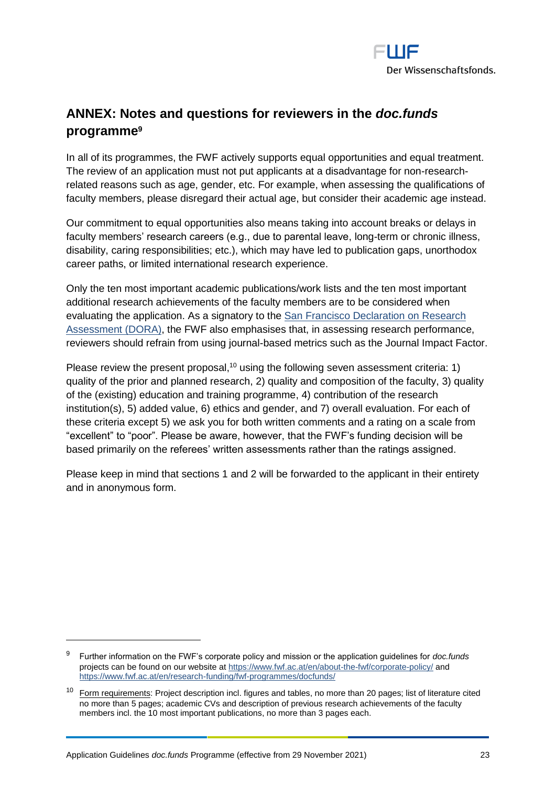

# <span id="page-22-0"></span>**ANNEX: Notes and questions for reviewers in the** *doc.funds* **programme<sup>9</sup>**

In all of its programmes, the FWF actively supports equal opportunities and equal treatment. The review of an application must not put applicants at a disadvantage for non-researchrelated reasons such as age, gender, etc. For example, when assessing the qualifications of faculty members, please disregard their actual age, but consider their academic age instead.

Our commitment to equal opportunities also means taking into account breaks or delays in faculty members' research careers (e.g., due to parental leave, long-term or chronic illness, disability, caring responsibilities; etc.), which may have led to publication gaps, unorthodox career paths, or limited international research experience.

Only the ten most important academic publications/work lists and the ten most important additional research achievements of the faculty members are to be considered when evaluating the application. As a signatory to the [San Francisco Declaration on Research](https://sfdora.org/)  [Assessment \(DORA\),](https://sfdora.org/) the FWF also emphasises that, in assessing research performance, reviewers should refrain from using journal-based metrics such as the Journal Impact Factor.

Please review the present proposal,<sup>10</sup> using the following seven assessment criteria: 1) quality of the prior and planned research, 2) quality and composition of the faculty, 3) quality of the (existing) education and training programme, 4) contribution of the research institution(s), 5) added value, 6) ethics and gender, and 7) overall evaluation. For each of these criteria except 5) we ask you for both written comments and a rating on a scale from "excellent" to "poor". Please be aware, however, that the FWF's funding decision will be based primarily on the referees' written assessments rather than the ratings assigned.

Please keep in mind that sections 1 and 2 will be forwarded to the applicant in their entirety and in anonymous form.

<sup>9</sup> Further information on the FWF's corporate policy and mission or the application guidelines for *doc.funds* projects can be found on our website a[t https://www.fwf.ac.at/en/about-the-fwf/corporate-policy/](https://www.fwf.ac.at/en/about-the-fwf/corporate-policy/) and https://www.fwf.ac.at/en/research-funding/fwf-programmes/docfunds/

<sup>&</sup>lt;sup>10</sup> Form requirements: Project description incl. figures and tables, no more than 20 pages; list of literature cited no more than 5 pages; academic CVs and description of previous research achievements of the faculty members incl. the 10 most important publications, no more than 3 pages each.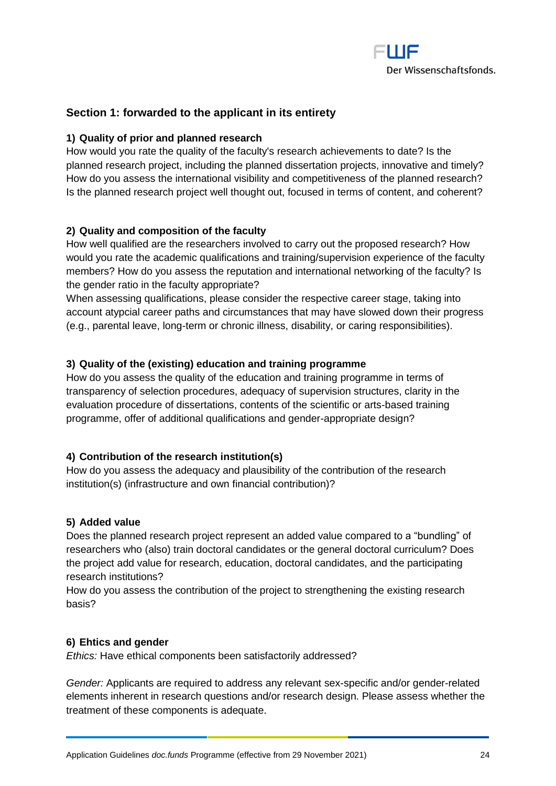

## **Section 1: forwarded to the applicant in its entirety**

#### **1) Quality of prior and planned research**

How would you rate the quality of the faculty's research achievements to date? Is the planned research project, including the planned dissertation projects, innovative and timely? How do you assess the international visibility and competitiveness of the planned research? Is the planned research project well thought out, focused in terms of content, and coherent?

## **2) Quality and composition of the faculty**

How well qualified are the researchers involved to carry out the proposed research? How would you rate the academic qualifications and training/supervision experience of the faculty members? How do you assess the reputation and international networking of the faculty? Is the gender ratio in the faculty appropriate?

When assessing qualifications, please consider the respective career stage, taking into account atypcial career paths and circumstances that may have slowed down their progress (e.g., parental leave, long-term or chronic illness, disability, or caring responsibilities).

## **3) Quality of the (existing) education and training programme**

How do you assess the quality of the education and training programme in terms of transparency of selection procedures, adequacy of supervision structures, clarity in the evaluation procedure of dissertations, contents of the scientific or arts-based training programme, offer of additional qualifications and gender-appropriate design?

#### **4) Contribution of the research institution(s)**

How do you assess the adequacy and plausibility of the contribution of the research institution(s) (infrastructure and own financial contribution)?

#### **5) Added value**

Does the planned research project represent an added value compared to a "bundling" of researchers who (also) train doctoral candidates or the general doctoral curriculum? Does the project add value for research, education, doctoral candidates, and the participating research institutions?

How do you assess the contribution of the project to strengthening the existing research basis?

#### **6) Ehtics and gender**

*Ethics:* Have ethical components been satisfactorily addressed?

*Gender:* Applicants are required to address any relevant sex-specific and/or gender-related elements inherent in research questions and/or research design. Please assess whether the treatment of these components is adequate.